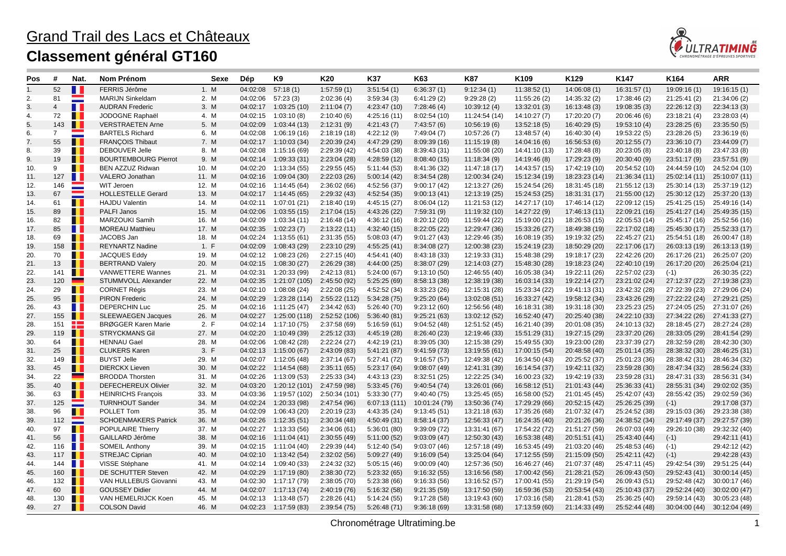## Grand Trail des Lacs et Châteaux **Classement général GT160**



| Pos | #              | Nat.                     | <b>Nom Prénom</b>           |       | Sexe<br>Dép | K <sub>9</sub>        | K20           | K37          | K63           | <b>K87</b>    | K109          | K129          | K147          | K164                        | <b>ARR</b>    |
|-----|----------------|--------------------------|-----------------------------|-------|-------------|-----------------------|---------------|--------------|---------------|---------------|---------------|---------------|---------------|-----------------------------|---------------|
| 1.  | 52             | П                        | FERRIS Jérôme               | 1. M  | 04:02:08    | 57:18(1)              | 1:57:59(1)    | 3:51:54(1)   | 6:36:37(1)    | 9:12:34(1)    | 11:38:52(1)   | 14:06:08 (1)  | 16:31:57 (1)  | 19:09:16 (1)                | 19:16:15(1)   |
| 2.  | 81             | <b>Service</b>           | <b>MARIJN Sinkeldam</b>     | 2. M  | 04:02:06    | 57:23(3)              | 2:02:36(4)    | 3:59:34(3)   | 6:41:29(2)    | 9:29:28(2)    | 11:55:26 (2)  | 14:35:32 (2)  | 17:38:46 (2)  | 21:25:41 (2)                | 21:34:06 (2)  |
| 3.  | $\overline{4}$ | Ш                        | <b>AUDRAN Frederic</b>      | 3. M  | 04:02:17    | 1:03:25(10)           | 2:11:04(7)    | 4:23:47 (10) | 7:28:46(4)    | 10:39:12 (4)  | 13:32:01(3)   | 16:13:48 (3)  | 19:08:35 (3)  | 22:26:12(3)                 | 22:34:13 (3)  |
| 4.  | 72             | . .                      | JODOGNE Raphaël             | 4. M  | 04:02:15    | 1:03:10(8)            | 2:10:40(6)    | 4:25:16(11)  | 8:02:54(10)   | 11:24:54 (14) | 14:10:27 (7)  | 17:20:20 (7)  | 20:06:46 (6)  | 23:18:21 (4)                | 23:28:03 (4)  |
| 5.  | 143            | . .                      | <b>VERSTRAETEN Arne</b>     | 5. M  | 04:02:09    | 1:03:44(13)           | 2:12:31(9)    | 4:21:43(7)   | 7:43:57(6)    | 10:56:19(6)   | 13:52:18(5)   | 16:40:29 (5)  | 19:53:10 (4)  | 23:28:25 (6)                | 23:35:50(5)   |
| 6.  | $\overline{7}$ |                          | <b>BARTELS Richard</b>      | 6. M  | 04:02:08    | 1:06:19(16)           | 2:18:19(18)   | 4:22:12(9)   | 7:49:04(7)    | 10:57:26 (7)  | 13:48:57 (4)  | 16:40:30 (4)  | 19:53:22 (5)  | 23:28:26 (5)                | 23:36:19 (6)  |
| 7.  | 55             | Ш                        | FRANÇOIS Thibaut            | 7. M  | 04:02:17    | 1:10:03(34)           | 2:20:39(24)   | 4:47:29 (29) | 8:09:39(16)   | 11:15:19(8)   | 14:04:16 (6)  | 16:56:53 (6)  | 20:12:55 (7)  | 23:36:10 (7)                | 23:44:09 (7)  |
| 8.  | 39             | Ш                        | DEBOUVER Jelle              | 8. M  | 04:02:08    | 1:15:16 (69)          | 2:29:39 (42)  | 4:54:03 (38) | 8:39:43 (31)  | 11:55:08 (20) | 14:41:10 (13) | 17:28:48 (8)  | 20:23:05 (8)  | 23:40:18 (8)                | 23:47:33 (8)  |
| 9.  | 19             | ш                        | <b>BOURTEMBOURG Pierrot</b> | 9. M  | 04:02:14    | 1:09:33(31)           | 2:23:04(28)   | 4:28:59 (12) | 8:08:40(15)   | 11:18:34(9)   | 14:19:46 (8)  | 17:29:23 (9)  | 20:30:40 (9)  | 23:51:17 (9)                | 23:57:51 (9)  |
| 10. | 9              | H                        | BEN AZZUZ Ridwan            | 10. M | 04:02:20    | 1:13:34(55)           | 2:29:55(45)   | 5:11:44(53)  | 8:41:36 (32)  | 11:47:18 (17) | 14:43:57 (15) | 17:42:19 (10) | 20:54:52 (10) | 24:44:59 (10)               | 24:52:04 (10) |
| 11. | 127            | Ш                        | VALERO Jonathan             | 11. M | 04:02:16    | 1:09:04(30)           | 2:22:03(26)   | 5:00:14(42)  | 8:34:54 (28)  | 12:00:34 (24) | 15:12:34 (19) | 18:23:23 (14) | 21:36:34 (11) | 25:02:14 (11)               | 25:10:07 (11) |
| 12. | 146            |                          | WIT Jeroen                  | 12. M | 04:02:16    | 1:14:45 (64)          | 2:36:02(66)   | 4:52:56 (37) | 9:00:17(42)   | 12:13:27 (26) | 15:24:54 (26) | 18:31:45 (18) | 21:55:12 (13) | 25:30:14 (13)               | 25:37:19 (12) |
| 13. | 67             |                          | <b>HOLLESTELLE Gerard</b>   | 13. M |             | 04:02:17 1:14:45 (65) | 2:29:32(43)   | 4:52:54 (35) | 9:00:13(41)   | 12:13:19 (25) | 15:24:53 (25) | 18:31:31 (17) | 21:55:00 (12) | 25:30:12 (12)               | 25:37:20 (13) |
| 14. | 61             | Ш                        | <b>HAJDU Valentin</b>       | 14. M | 04:02:11    | 1:07:01 (21)          | 2:18:40 (19)  | 4:45:15 (27) | 8:06:04(12)   | 11:21:53 (12) | 14:27:17 (10) | 17:46:14 (12) | 22:09:12 (15) | 25:41:25 (15)               | 25:49:16 (14) |
| 15. | 89             | Ш                        | PALFI Janos                 | 15. M | 04:02:06    | 1:03:55(15)           | 2:17:04(15)   | 4:43:26 (22) | 7:59:31 (9)   | 11:19:32 (10) | 14:27:22 (9)  | 17:46:13 (11) | 22:09:21 (16) | 25:41:27 (14)               | 25:49:35 (15) |
| 16. | 82             | Ш                        | MARZOUKI Samih              | 16. M | 04:02:09    | 1:03:34(11)           | 2:16:48(14)   | 4:36:12(16)  | 8:20:12 (20)  | 11:59:44 (22) | 15:19:00 (21) | 18:26:53 (15) | 22:05:53 (14) | 25:45:17 (16)               | 25:52:56 (16) |
| 17. | 85             | Ш                        | <b>MOREAU Matthieu</b>      | 17. M | 04:02:35    | 1:02:23(7)            | 2:13:22(11)   | 4:32:40 (15) | 8:22:05(22)   | 12:29:47 (36) | 15:33:26 (27) | 18:49:38 (19) | 22:17:02 (18) | 25:45:30 (17)               | 25:52:33 (17) |
| 18. | 69             | ш                        | JACOBS Jan                  | 18. M | 04:02:24    | 1:13:55(61)           | 2:31:35(55)   | 5:08:03(47)  | 9:01:27(43)   | 12:29:46 (35) | 16:08:19 (35) | 19:19:32 (25) | 22:45:27 (21) | 25:54:51 (18)               | 26:00:47 (18) |
| 19. | 158            | . .                      | <b>REYNARTZ Nadine</b>      | 1. F  | 04:02:09    | 1:08:43(29)           | 2:23:10 (29)  | 4:55:25(41)  | 8:34:08 (27)  | 12:00:38 (23) | 15:24:19 (23) | 18:50:29 (20) | 22:17:06 (17) | 26:03:13 (19)               | 26:13:13 (19) |
| 20. | 70             | . .                      | <b>JACQUES Eddy</b>         | 19. M | 04:02:12    | 1:08:23(26)           | 2:27:15(40)   | 4:54:41 (40) | 8:43:18 (33)  | 12:19:33 (31) | 15:48:38 (29) | 19:18:17 (23) | 22:42:26 (20) | 26:17:26 (21)               | 26:25:07 (20) |
| 21. | 13             | . .                      | <b>BERTRAND Valery</b>      | 20. M | 04:02:15    | 1:08:30(27)           | 2:26:29 (38)  | 4:44:00 (25) | 8:38:07 (29)  | 12:14:03 (27) | 15:48:30 (28) | 19:18:23 (24) | 22:40:10 (19) | 26:17:20 (20)               | 26:25:04 (21) |
| 22. | 141            | n a s                    | <b>VANWETTERE Wannes</b>    | 21. M | 04:02:31    | 1:20:33 (99)          | 2:42:13(81)   | 5:24:00 (67) | 9:13:10(50)   | 12:46:55 (40) | 16:05:38 (34) | 19:22:11 (26) | 22:57:02 (23) | $(-1)$                      | 26:30:35 (22) |
| 23. | 120            | $\overline{\phantom{0}}$ | STUMMVOLL Alexander         | 22. M | 04:02:35    | 1:21:07 (105)         | 2:45:50 (92)  | 5:25:25(69)  | 8:58:13 (38)  | 12:38:19 (38) | 16:03:14 (33) | 19:22:14 (27) | 23:21:02 (24) | 27:12:37 (22)               | 27:19:38 (23) |
| 24. | 29             | . .                      | <b>CORNET Régis</b>         | 23. M | 04:02:10    | 1:08:08(24)           | 2:22:08(25)   | 4:52:52 (34) | 8:33:23(26)   | 12:15:31 (28) | 15:23:34 (22) | 19:41:13 (31) | 23:42:32 (28) | 27:22:39 (23)               | 27:29:06 (24) |
| 25. | 95             | . .                      | <b>PIRON Frederic</b>       | 24. M | 04:02:29    | 1:23:28(114)          | 2:55:22 (112) | 5:34:28 (75) | 9:25:20(64)   | 13:02:08 (51) | 16:33:27 (42) | 19:58:12 (34) | 23:43:26 (29) | 27:22:22 (24) 27:29:21 (25) |               |
| 26. | 43             | H.                       | <b>DEPERCHIN Luc</b>        | 25. M | 04:02:16    | 1:11:25(47)           | 2:34:42(63)   | 5:26:40 (70) | 9:23:12(60)   | 12:56:56 (48) | 16:18:31 (38) | 19:31:18 (30) | 23:25:23 (25) | 27:24:05 (25)               | 27:31:07 (26) |
| 27. | 155            | . .                      | <b>SLEEWAEGEN Jacques</b>   | 26. M | 04:02:27    | 1:25:00 (118)         | 2:52:52 (106) | 5:36:40(81)  | 9:25:21(63)   | 13:02:12 (52) | 16:52:40 (47) | 20:25:40 (38) | 24:22:10 (33) | 27:34:22 (26)               | 27:41:33 (27) |
| 28. | 151            |                          | BRØGGER Karen Marie         | 2. F  | 04:02:14    | 1:17:10 (75)          | 2:37:58 (69)  | 5:16:59(61)  | 9:04:52(48)   | 12:51:52 (45) | 16:21:40 (39) | 20:01:08 (35) | 24:10:13 (32) | 28:18:45 (27)               | 28:27:24 (28) |
| 29. | 119            | ш                        | <b>STRYCKMANS Gil</b>       | 27. M | 04:02:20    | 1:10:49(39)           | 2:25:12(33)   | 4:45:19 (28) | 8:26:40 (23)  | 12:19:46 (33) | 15:51:29 (31) | 19:27:15 (29) | 23:37:20 (26) | 28:33:05 (29)               | 28:41:54 (29) |
| 30. | 64             | Ш                        | <b>HENNAU Gael</b>          | 28. M | 04:02:06    | 1:08:42 (28)          | 2:22:24(27)   | 4:42:19 (21) | 8:39:05 (30)  | 12:15:38 (29) | 15:49:55 (30) | 19:23:00 (28) | 23:37:39 (27) | 28:32:59 (28)               | 28:42:30 (30) |
| 31. | 25             | ш                        | <b>CLUKERS Karen</b>        | 3. F  | 04:02:13    | 1:15:00(67)           | 2:43:09(83)   | 5:41:21 (87) | 9:41:59(73)   | 13:19:55 (61) | 17:00:15 (54) | 20:48:58 (40) | 25:01:14 (35) | 28:38:32 (30)               | 28:46:25 (31) |
| 32. | 149            | H.                       | <b>BUYST Jelle</b>          | 29. M | 04:02:07    | 1:12:05 (48)          | 2:37:14(67)   | 5:27:41 (72) | 9:16:57(57)   | 12:49:38 (42) | 16:34:50 (43) | 20:25:52 (37) | 25:01:23 (36) | 28:38:42 (31)               | 28:46:34 (32) |
| 33. | 45             | Ш                        | <b>DIERCKX Lieven</b>       | 30. M | 04:02:22    | 1:14:54 (68)          | 2:35:11(65)   | 5:23:17(64)  | 9:08:07(49)   | 12:41:31 (39) | 16:14:54 (37) | 19:42:11 (32) | 23:59:28 (30) | 28:47:34 (32)               | 28:56:24 (33) |
| 34. | 22             |                          | <b>BRODDA Thorsten</b>      | 31. M | 04:02:26    | 1:13:09(53)           | 2:25:33(34)   | 4:43:13 (23) | 8:32:51(25)   | 12:22:25 (34) | 16:00:23 (32) | 19:42:19 (33) | 23:59:28 (31) | 28:47:31 (33)               | 28:56:31 (34) |
| 35. | 40             | ш                        | <b>DEFECHEREUX Olivier</b>  | 32. M | 04:03:20    | 1:20:12(101)          | 2:47:59 (98)  | 5:33:45(76)  | 9:40:54(74)   | 13:26:01 (66) | 16:58:12 (51) | 21:01:43 (44) | 25:36:33 (41) | 28:55:31 (34)               | 29:02:02 (35) |
| 36. | 63             | H                        | <b>HEINRICHS François</b>   | 33. M | 04:03:36    | 1:19:57 (102)         | 2:50:34 (101) | 5:33:30 (77) | 9:40:40(75)   | 13:25:45 (65) | 16:58:00 (52) | 21:01:45 (45) | 25:42:07 (43) | 28:55:42 (35)               | 29:02:59 (36) |
| 37. | 125            |                          | <b>TURNHOUT Sander</b>      | 34. M | 04:02:24    | 1:20:33 (98)          | 2:47:54 (96)  | 6:07:13(111) | 10:01:24 (79) | 13:50:36 (74) | 17:29:29 (66) | 20:52:15 (42) | 25:26:25 (39) | $(-1)$                      | 29:17:08 (37) |
| 38. | 96             | ш                        | POLLET Tom                  | 35. M | 04:02:09    | 1:06:43(20)           | 2:20:19 (23)  | 4:43:35 (24) | 9:13:45(51)   | 13:21:18 (63) | 17:35:26 (68) | 21:07:32 (47) | 25:24:52 (38) | 29:15:03 (36)               | 29:23:38 (38) |
| 39. | 112            |                          | <b>SCHOENMAKERS Patrick</b> | 36. M | 04:02:26    | 1:12:35(51)           | 2:30:34(48)   | 4:50:49 (31) | 8:58:14(37)   | 12:56:33 (47) | 16:24:35 (40) | 20:21:26 (36) | 24:38:52 (34) | 29:17:49 (37)               | 29:27:57 (39) |
| 40. | 97             | Ш                        | <b>POPULAIRE Thierry</b>    | 37. M |             | 04:02:27 1:13:33 (56) | 2:34:06(61)   | 5:36:01 (80) | 9:39:09(72)   | 13:31:41 (67) | 17:54:22 (72) | 21:51:27 (59) | 26:07:03 (49) | 29:26:10 (38)               | 29:32:32 (40) |
| 41. | 56             | Ш                        | GAILLARD Jérôme             | 38. M | 04:02:16    | 1:11:04(41)           | 2:30:55(49)   | 5:11:00 (52) | 9:03:09(47)   | 12:50:30 (43) | 16:53:38 (48) | 20:51:51 (41) | 25:43:40 (44) | $(-1)$                      | 29:42:11 (41) |
| 42. | 116            | H                        | <b>SOMEIL Anthony</b>       | 39. M | 04:02:15    | 1:11:04 (40)          | 2:29:39 (44)  | 5:12:40 (54) | 9:03:07(46)   | 12:57:18 (49) | 16:53:45 (49) | 21:03:20 (46) | 25:48:53 (46) | $(-1)$                      | 29:42:12 (42) |
| 43. | 117            | . .                      | <b>STREJAC Ciprian</b>      | 40. M | 04:02:10    | 1:13:42(54)           | 2:32:02(56)   | 5:09:27 (49) | 9:16:09(54)   | 13:25:04 (64) | 17:12:55 (59) | 21:15:09 (50) | 25:42:11 (42) | $(-1)$                      | 29:42:28 (43) |
| 44. | 144            | H.                       | VISSE Stéphane              | 41. M |             | 04:02:14 1:09:40 (33) | 2:24:32 (32)  | 5:05:15(46)  | 9:00:09(40)   | 12:57:36 (50) | 16:46:27 (46) | 21:07:37 (48) | 25:47:11 (45) | 29:42:54 (39)               | 29:51:25 (44) |
| 45. | 160            | . .                      | DE SCHUTTER Steven          | 42. M | 04:02:29    | 1:17:19(80)           | 2:38:30(72)   | 5:23:32(65)  | 9:16:32(55)   | 13:16:56 (58) | 17:00:42 (56) | 21:28:21 (52) | 26:09:43 (50) | 29:52:43 (41)               | 30:00:14 (45) |
| 46. | 132            | H.                       | VAN HULLEBUS Giovanni       | 43. M | 04:02:30    | 1:17:17 (79)          | 2:38:05 (70)  | 5:23:38 (66) | 9:16:33(56)   | 13:16:52 (57) | 17:00:41 (55) | 21:29:19 (54) | 26:09:43 (51) | 29:52:48 (42)               | 30:00:17 (46) |
| 47. | 60             | . .                      | <b>GOUSSEY Didier</b>       | 44. M | 04:02:07    | 1:17:13 (74)          | 2:40:19 (76)  | 5:16:32(58)  | 9:21:35(59)   | 13:17:50 (59) | 16:59:36 (53) | 20:53:54 (43) | 25:10:43 (37) | 29:52:24 (40)               | 30:02:00 (47) |
| 48. | 130            | . .                      | VAN HEMELRIJCK Koen         | 45. M | 04:02:13    | 1:13:48 (57)          | 2:28:26(41)   | 5:14:24 (55) | 9:17:28(58)   | 13:19:43 (60) | 17:03:16 (58) | 21:28:41 (53) | 25:36:25 (40) | 29:59:14 (43)               | 30:05:23 (48) |
| 49. | 27             | . .                      | <b>COLSON David</b>         | 46. M |             | 04:02:23 1:17:59 (83) | 2:39:54(75)   | 5:26:48(71)  | 9:36:18(69)   | 13:31:58 (68) | 17:13:59 (60) | 21:14:33 (49) | 25:52:44 (48) | 30:04:00 (44) 30:12:04 (49) |               |

Chronométrage Ultratiming.be 1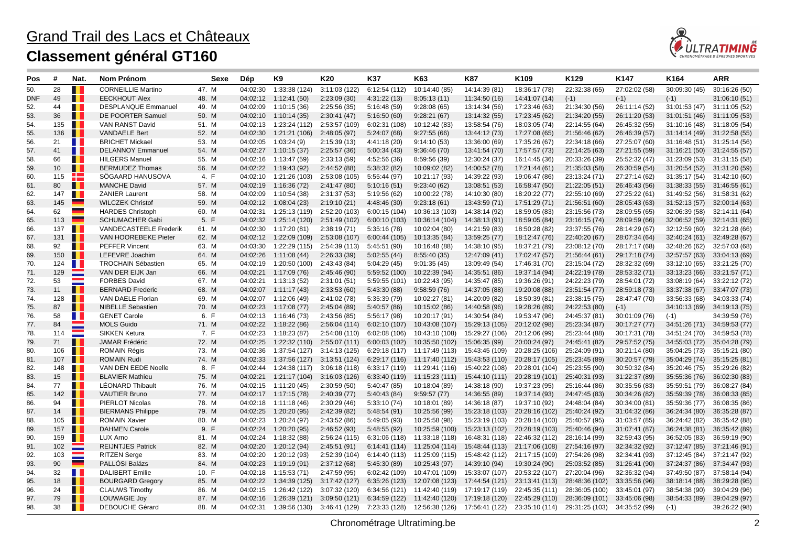## Grand Trail des Lacs et Châteaux **Classement général GT160**



| Pos | #   | Nat.  | Nom Prénom                 | Sexe  | Dép      | K9            | K20           | K37           | K63            | <b>K87</b>     | K <sub>109</sub> | K <sub>129</sub> | K147          | K164                        | <b>ARR</b>    |
|-----|-----|-------|----------------------------|-------|----------|---------------|---------------|---------------|----------------|----------------|------------------|------------------|---------------|-----------------------------|---------------|
| 50. | 28  |       | <b>CORNEILLIE Martino</b>  | 47. M | 04:02:30 | 1:33:38 (124) | 3:11:03(122)  | 6:12:54 (112) | 10:14:40 (85)  | 14:14:39 (81)  | 18:36:17 (78)    | 22:32:38 (65)    | 27:02:02 (58) | 30:09:30 (45)               | 30:16:26 (50) |
| DNF | 49  | . .   | <b>EECKHOUT Alex</b>       | 48. M | 04:02:12 | 1:12:41(50)   | 2:23:09(30)   | 4:31:22(13)   | 8:05:13(11)    | 11:34:50 (16)  | 14:41:07 (14)    | $(-1)$           | $(-1)$        | $(-1)$                      | 31:06:10 (51) |
| 52. | 44  | H     | <b>DESPLANQUE Emmanuel</b> | 49. M | 04:02:09 | 1:10:15(36)   | 2:25:56(35)   | 5:16:48(59)   | 9:28:08(65)    | 13:14:34 (56)  | 17:23:46 (63)    | 21:34:30 (56)    | 26:11:14 (52) | 31:01:53(47)                | 31:11:05 (52) |
| 53. | 36  | Ш     | DE POORTER Samuel          | 50. M | 04:02:10 | 1:10:14(35)   | 2:30:41(47)   | 5:16:50(60)   | 9:28:21(67)    | 13:14:32 (55)  | 17:23:45 (62)    | 21:34:20 (55)    | 26:11:20 (53) | 31:01:51(46)                | 31:11:05 (53) |
| 54. | 135 | . .   | VAN RANST David            | 51. M | 04:02:13 | 1:23:24 (112) | 2:53:57 (109) | 6:02:31 (108) | 10:12:42 (83)  | 13:58:54 (76)  | 18:03:05 (74)    | 22:14:55 (64)    | 26:45:32 (55) | 31:10:16 (48)               | 31:18:05 (54) |
| 55. | 136 | . .   | <b>VANDAELE Bert</b>       | 52. M | 04:02:30 | 1:21:21 (106) | 2:48:05 (97)  | 5:24:07 (68)  | 9:27:55(66)    | 13:44:12 (73)  | 17:27:08 (65)    | 21:56:46 (62)    | 26:46:39 (57) | 31:14:14 (49) 31:22:58 (55) |               |
| 56. | 21  | H     | <b>BRICHET Mickael</b>     | 53. M | 04:02:05 | 1:03:24(9)    | 2:15:39(13)   | 4:41:18 (20)  | 9:14:10(53)    | 13:36:00 (69)  | 17:35:26 (67)    | 22:34:18 (66)    | 27:25:07 (60) | 31:16:48(51)                | 31:25:14 (56) |
| 57. | 41  | ш     | <b>DELANNOY Emmanuel</b>   | 54. M | 04:02:27 | 1:10:15(37)   | 2:25:57(36)   | 5:00:34(43)   | 9:36:46(70)    | 13:41:54 (70)  | 17:57:57 (73)    | 22:14:25 (63)    | 27:21:55 (59) | 31:16:21 (50) 31:24:55 (57) |               |
| 58. | 66  | ш     | <b>HILGERS Manuel</b>      | 55. M | 04:02:16 | 1:13:47 (59)  | 2:33:13(59)   | 4:52:56 (36)  | 8:59:56 (39)   | 12:30:24 (37)  | 16:14:45 (36)    | 20:33:26 (39)    | 25:52:32 (47) | 31:23:09(53)                | 31:31:15 (58) |
| 59. | 10  | ш     | <b>BERMUDEZ Thomas</b>     | 56. M | 04:02:22 | 1:19:43 (92)  | 2:44:52 (88)  | 5:38:32 (82)  | 10:09:02 (82)  | 14:00:52 (78)  | 17:21:44 (61)    | 21:35:03 (58)    | 26:30:59 (54) | 31:20:54 (52)               | 31:31:20 (59) |
| 60. | 115 |       | SÖGAARD HANUSOVA           | 4. F  | 04:02:10 | 1:21:26 (103) | 2:53:08 (105) | 5:55:44 (97)  | 10:21:17 (93)  | 14:39:22 (93)  | 19:06:47 (86)    | 23:13:24 (71)    | 27:27:14 (62) | 31:35:17 (54)               | 31:42:10 (60) |
| 61. | 80  | H     | <b>MANCHE David</b>        | 57. M | 04:02:19 | 1:16:36(72)   | 2:41:47(80)   | 5:10:16(51)   | 9:23:40(62)    | 13:08:51 (53)  | 16:58:47 (50)    | 21:22:05 (51)    | 26:46:43 (56) | 31:38:33(55)                | 31:46:55 (61) |
| 62. | 147 | H.    | <b>ZANIER Laurent</b>      | 58. M | 04:02:09 | 1:10:54 (38)  | 2:31:37(53)   | 5:19:56 (62)  | 10:00:22 (78)  | 14:10:30 (80)  | 18:20:22 (77)    | 22:55:10 (69)    | 27:25:22 (61) | 31:49:52 (56)               | 31:58:31 (62) |
| 63. | 145 |       | <b>WILCZEK Christof</b>    | 59. M | 04:02:12 | 1:08:04(23)   | 2:19:10(21)   | 4:48:46 (30)  | 9:23:18(61)    | 13:43:59 (71)  | 17:51:29 (71)    | 21:56:51 (60)    | 28:05:43 (63) | 31:52:13(57)                | 32:00:14 (63) |
| 64. | 62  |       | <b>HARDES Christoph</b>    | 60. M | 04:02:31 | 1:25:13 (119) | 2:52:20 (103) | 6:00:15 (104) | 10:36:13 (103) | 14:38:14 (92)  | 18:59:05 (83)    | 23:15:56 (73)    | 28:09:55 (65) | 32:06:39 (58)               | 32:14:11 (64) |
| 65. | 113 |       | <b>SCHUMACHER Gabi</b>     | 5. F  | 04:02:32 | 1:25:14 (120) | 2:51:49 (102) | 6:00:10 (103) | 10:36:14 (104) | 14:38:13 (91)  | 18:59:05 (84)    | 23:16:15 (74)    | 28:09:59 (66) | 32:06:52 (59)               | 32:14:31 (65) |
| 66. | 137 | Ш     | VANDECASTEELE Frederik     | 61. M | 04:02:30 | 1:17:20(81)   | 2:38:19(71)   | 5:35:16 (78)  | 10:02:04 (80)  | 14:21:59 (83)  | 18:50:28 (82)    | 23:37:55 (76)    | 28:14:29 (67) | 32:12:59 (60)               | 32:21:28 (66) |
| 67. | 131 | Ш     | VAN HOOREBEKE Pieter       | 62. M | 04:02:12 | 1:22:09 (109) | 2:53:08 (107) | 6:00:44 (105) | 10:13:35 (84)  | 13:59:25 (77)  | 18:12:47 (76)    | 22:40:20 (67)    | 28:07:34 (64) | 32:40:24 (61)               | 32:49:28 (67) |
| 68. | 92  | Ш     | <b>PEFFER Vincent</b>      | 63. M | 04:03:30 | 1:22:29 (115) | 2:54:39 (113) | 5:45:51 (90)  | 10:16:48 (88)  | 14:38:10 (95)  | 18:37:21 (79)    | 23:08:12 (70)    | 28:17:17 (68) | 32:48:26 (62)               | 32:57:03 (68) |
| 69. | 150 | . .   | LEFEVRE Joachim            | 64. M | 04:02:26 | 1:11:08(44)   | 2:26:33(39)   | 5:02:55(44)   | 8:55:40 (35)   | 12:47:09 (41)  | 17:02:47 (57)    | 21:56:44 (61)    | 29:17:18 (74) | 32:57:57 (63)               | 33:04:13 (69) |
| 70. | 124 | H     | <b>TROCHAIN Sébastien</b>  | 65. M | 04:02:19 | 1:20:50 (100) | 2:43:43 (84)  | 5:04:29(45)   | 9:01:35(45)    | 13:09:49 (54)  | 17:46:31 (70)    | 23:15:04 (72)    | 28:32:32 (69) | 33:12:10 (65)               | 33:21:25 (70) |
| 71. | 129 |       | VAN DER EIJK Jan           | 66. M | 04:02:21 | 1:17:09(76)   | 2:45:46(90)   | 5:59:52 (100) | 10:22:39 (94)  | 14:35:51 (86)  | 19:37:14 (94)    | 24:22:19 (78)    | 28:53:32 (71) | 33:13:23 (66)               | 33:21:57 (71) |
| 72. | 53  |       | <b>FORBES David</b>        | 67. M | 04:02:21 | 1:13:13 (52)  | 2:31:01(51)   | 5:59:55 (101) | 10:22:43 (95)  | 14:35:47 (85)  | 19:36:26 (91)    | 24:22:23 (79)    | 28:54:01 (72) | 33:08:19 (64)               | 33:22:12 (72) |
| 73. | 11  | . .   | <b>BERNARD Frederic</b>    | 68. M | 04:02:07 | 1:11:17 (43)  | 2:33:53(60)   | 5:43:30 (88)  | 9:58:59(76)    | 14:37:05 (88)  | 19:20:08 (88)    | 23:51:54 (77)    | 28:59:18 (73) | 33:37:38 (67)               | 33:47:07 (73) |
| 74. | 128 | H.    | VAN DAELE Florian          | 69. M | 04:02:07 | 1:12:06(49)   | 2:41:02 (78)  | 5:35:39 (79)  | 10:02:27 (81)  | 14:20:09 (82)  | 18:50:39 (81)    | 23:38:15 (75)    | 28:47:47 (70) | 33:56:33 (68)               | 34:03:33 (74) |
| 75. | 87  | . .   | <b>NIBELLE Sebastien</b>   | 70. M | 04:02:23 | 1:17:08 (77)  | 2:45:04(89)   | 5:40:57 (86)  | 10:15:02 (86)  | 14:40:58 (96)  | 19:28:26 (89)    | 24:22:53 (80)    | $(-1)$        | 34:10:13 (69)               | 34:19:13 (75) |
| 76. | 58  | H     | <b>GENET Carole</b>        | 6. F  | 04:02:13 | 1:16:46 (73)  | 2:43:56 (85)  | 5:56:17 (98)  | 10:20:17 (91)  | 14:30:54 (84)  | 19:53:47 (96)    | 24:45:37 (81)    | 30:01:09 (76) | $(-1)$                      | 34:39:59 (76) |
| 77. | 84  |       | <b>MOLS Guido</b>          | 71. M | 04:02:22 | 1:18:22 (86)  | 2:56:04 (114) | 6:02:10 (107) | 10:43:08 (107) | 15:29:13 (105) | 20:12:02 (98)    | 25:23:34 (87)    | 30:17:27 (77) | 34:51:26 (71)               | 34:59:53 (77) |
| 78. | 114 |       | <b>SIKKEN Ketura</b>       | 7. F  | 04:02:23 | 1:18:23(87)   | 2:54:08 (110) | 6:02:08 (106) | 10:43:10 (108) | 15:29:27 (106) | 20:12:06 (99)    | 25:23:44 (88)    | 30:17:31 (78) | 34:51:24 (70)               | 34:59:53 (78) |
| 79. | 71  | H.    | JAMAR Frédéric             | 72. M | 04:02:25 | 1:22:32 (110) | 2:55:07 (111) | 6:00:03 (102) | 10:35:50 (102) | 15:06:35 (99)  | 20:00:24 (97)    | 24:45:41 (82)    | 29:57:52 (75) | 34:55:03 (72)               | 35:04:28 (79) |
| 80. | 106 | H.    | <b>ROMAIN Régis</b>        | 73. M | 04:02:36 | 1:37:54 (127) | 3:14:13(125)  | 6:29:18 (117) | 11:17:49 (113) | 15:43:45 (109) | 20:28:25 (106)   | 25:24:09 (91)    | 30:21:14 (80) | 35:04:25 (73)               | 35:15:21 (80) |
| 81. | 107 | Ш     | <b>ROMAIN Rudi</b>         | 74. M | 04:02:33 | 1:37:56 (127) | 3:13:51(124)  | 6:29:17(116)  | 11:17:40 (112) | 15:43:53 (110) | 20:28:17 (105)   | 25:23:45 (89)    | 30:20:57 (79) | 35:04:29 (74)               | 35:15:25 (81) |
| 82. | 148 | H     | VAN DEN EEDE Noelle        | 8. F  | 04:02:44 | 1:24:38 (117) | 3:06:18(118)  | 6:33:17 (119) | 11:29:41 (116) | 15:40:22 (108) | 20:28:01 (104)   | 25:23:55 (90)    | 30:50:32 (84) | 35:20:46 (75)               | 35:29:26 (82) |
| 83. | 15  | ш     | <b>BLAVIER Mathieu</b>     | 75. M | 04:02:21 | 1:21:17 (104) | 3:16:03(126)  | 6:33:40 (119) | 11:15:23 (111) | 15:44:10 (111) | 20:28:19 (101)   | 25:40:31 (93)    | 31:22:37 (89) | 35:55:36 (76)               | 36:02:30 (83) |
| 84. | 77  | Ш     | LÉONARD Thibault           | 76. M | 04:02:15 | 1:11:20 (45)  | 2:30:59(50)   | 5:40:47 (85)  | 10:18:04 (89)  | 14:38:18 (90)  | 19:37:23 (95)    | 25:16:44 (86)    | 30:35:56 (83) | 35:59:51 (79)               | 36:08:27 (84) |
| 85. | 142 | . .   | <b>VAUTIER Bruno</b>       | 77. M | 04:02:17 | 1:17:15(78)   | 2:40:39 (77)  | 5:40:43 (84)  | 9:59:57(77)    | 14:36:55 (89)  | 19:37:14 (93)    | 24:47:45 (83)    | 30:34:26 (82) | 35:59:39 (78)               | 36:08:33 (85) |
| 86. | 94  | Ш     | PIERLOT Nicolas            | 78. M | 04:02:18 | 1:11:18 (46)  | 2:30:29(46)   | 5:33:10 (74)  | 10:18:01 (89)  | 14:36:18 (87)  | 19:37:10 (92)    | 24:48:04 (84)    | 30:34:00 (81) | 35:59:36 (77)               | 36:08:35 (86) |
| 87. | 14  | . .   | <b>BIERMANS Philippe</b>   | 79. M | 04:02:25 | 1:20:20 (95)  | 2:42:39 (82)  | 5:48:54 (91)  | 10:25:56 (99)  | 15:23:18 (103) | 20:28:16 (102)   | 25:40:24 (92)    | 31:04:32 (86) | 36:24:34 (80)               | 36:35:28 (87) |
| 88. | 105 | ш     | <b>ROMAIN Xavier</b>       | 80. M | 04:02:23 | 1:20:24 (97)  | 2:43:52(86)   | 5:49:05 (93)  | 10:25:58 (98)  | 15:23:19 (103) | 20:28:14 (100)   | 25:40:57 (95)    | 31:03:57 (85) | 36:24:42 (82)               | 36:35:42 (88) |
| 89. | 157 | . .   | <b>DAHMEN Carole</b>       | 9. F  | 04:02:24 | 1:20:20 (95)  | 2:46:52 (93)  | 5:48:55 (92)  | 10:25:59 (100) | 15:23:13 (102) | 20:28:19 (103)   | 25:40:46 (94)    | 31:07:41 (87) | 36:24:38 (81)               | 36:35:42 (89) |
| 90. | 159 | n a s | LUX Arno                   | 81. M | 04:02:24 | 1:18:32 (88)  | 2:56:24 (115) | 6:31:06 (118) | 11:33:18 (118) | 16:48:31 (118) | 22:46:32 (112)   | 28:16:14 (99)    | 32:59:43 (95) | 36:52:05 (83)               | 36:59:19 (90) |
| 91. | 102 |       | <b>REIJNTJES Patrick</b>   | 82. M | 04:02:20 | 1:20:12 (94)  | 2:45:51(91)   | 6:14:41(114)  | 11:25:04 (114) | 15:48:44 (113) | 21:17:06 (108)   | 27:54:16 (97)    | 32:34:32 (92) | 37:12:47 (85)               | 37:21:46 (91) |
| 92. | 103 |       | <b>RITZEN Serge</b>        | 83. M | 04:02:20 | 1:20:12 (93)  | 2:52:39 (104) | 6:14:40 (113) | 11:25:09 (115) | 15:48:42 (112) | 21:17:15 (109)   | 27:54:26 (98)    | 32:34:41 (93) | 37:12:45 (84)               | 37:21:47 (92) |
| 93. | 90  | ۰     | PALLÓSI Balázs             | 84. M | 04:02:23 | 1:19:19 (91)  | 2:37:12(68)   | 5:45:30 (89)  | 10:25:43 (97)  | 14:39:10 (94)  | 19:30:24 (90)    | 25:03:52 (85)    | 31:26:41 (90) | 37:24:37 (86)               | 37:34:47 (93) |
| 94. | 32  | H     | <b>DALIBERT Emilie</b>     | 10. F | 04:02:18 | 1:15:53 (71)  | 2:47:59 (95)  | 6:02:42 (109) | 10:47:01 (109) | 15:33:07 (107) | 20:53:22 (107)   | 27:20:04 (96)    | 32:36:32 (94) | 37:49:50 (87)               | 37:58:14 (94) |
| 95. | 18  | H     | <b>BOURGARD Gregory</b>    | 85. M | 04:02:22 | 1:34:39 (125) | 3:17:42 (127) | 6:35:26 (123) | 12:07:08 (123) | 17:44:54 (121) | 23:13:41 (113)   | 28:48:36 (102)   | 33:35:56 (96) | 38:18:14 (88)               | 38:29:28 (95) |
| 96. | 24  | ш     | CLAUWS Timothy             | 86. M | 04:02:15 | 1:26:42 (122) | 3:07:32 (120) | 6:34:56(121)  | 11:42:40 (119) | 17:19:17 (119) | 22:45:35 (111)   | 28:36:05 (100)   | 33:45:01 (97) | 38:54:38 (90)               | 39:04:29 (96) |
| 97. | 79  | Ш     | <b>LOUWAGIE Joy</b>        | 87. M | 04:02:16 | 1:26:39 (121) | 3:09:50 (121) | 6:34:59 (122) | 11:42:40 (120) | 17:19:18 (120) | 22:45:29 (110)   | 28:36:09 (101)   | 33:45:06 (98) | 38:54:33 (89)               | 39:04:29 (97) |
| 98. | 38  | n a s | DEBOUCHE Gérard            | 88. M | 04:02:31 | 1:39:56 (130) | 3:46:41 (129) | 7:23:33 (128) | 12:56:38 (126) | 17:56:41 (122) | 23:35:10 (114)   | 29:31:25 (103)   | 34:35:52 (99) | $(-1)$                      | 39:26:22 (98) |